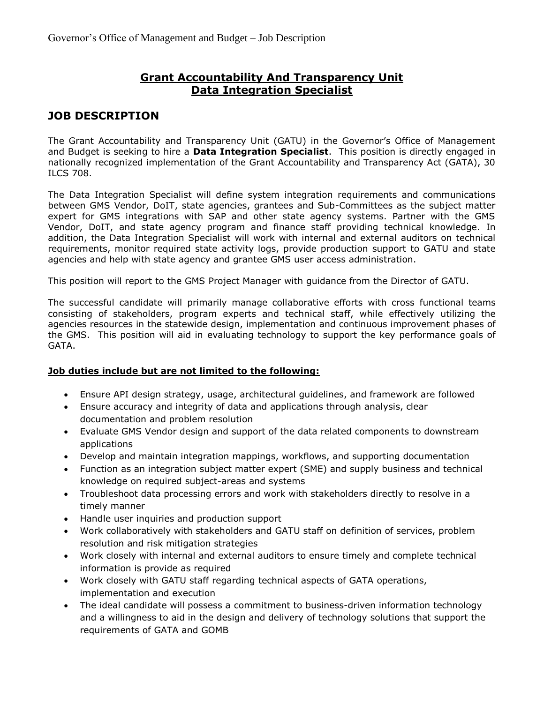## **Grant Accountability And Transparency Unit Data Integration Specialist**

# **JOB DESCRIPTION**

The Grant Accountability and Transparency Unit (GATU) in the Governor's Office of Management and Budget is seeking to hire a **Data Integration Specialist**. This position is directly engaged in nationally recognized implementation of the Grant Accountability and Transparency Act (GATA), 30 ILCS 708.

The Data Integration Specialist will define system integration requirements and communications between GMS Vendor, DoIT, state agencies, grantees and Sub-Committees as the subject matter expert for GMS integrations with SAP and other state agency systems. Partner with the GMS Vendor, DoIT, and state agency program and finance staff providing technical knowledge. In addition, the Data Integration Specialist will work with internal and external auditors on technical requirements, monitor required state activity logs, provide production support to GATU and state agencies and help with state agency and grantee GMS user access administration.

This position will report to the GMS Project Manager with guidance from the Director of GATU.

The successful candidate will primarily manage collaborative efforts with cross functional teams consisting of stakeholders, program experts and technical staff, while effectively utilizing the agencies resources in the statewide design, implementation and continuous improvement phases of the GMS. This position will aid in evaluating technology to support the key performance goals of GATA.

#### **Job duties include but are not limited to the following:**

- Ensure API design strategy, usage, architectural guidelines, and framework are followed
- Ensure accuracy and integrity of data and applications through analysis, clear documentation and problem resolution
- Evaluate GMS Vendor design and support of the data related components to downstream applications
- Develop and maintain integration mappings, workflows, and supporting documentation
- Function as an integration subject matter expert (SME) and supply business and technical knowledge on required subject-areas and systems
- Troubleshoot data processing errors and work with stakeholders directly to resolve in a timely manner
- Handle user inquiries and production support
- Work collaboratively with stakeholders and GATU staff on definition of services, problem resolution and risk mitigation strategies
- Work closely with internal and external auditors to ensure timely and complete technical information is provide as required
- Work closely with GATU staff regarding technical aspects of GATA operations, implementation and execution
- The ideal candidate will possess a commitment to business-driven information technology and a willingness to aid in the design and delivery of technology solutions that support the requirements of GATA and GOMB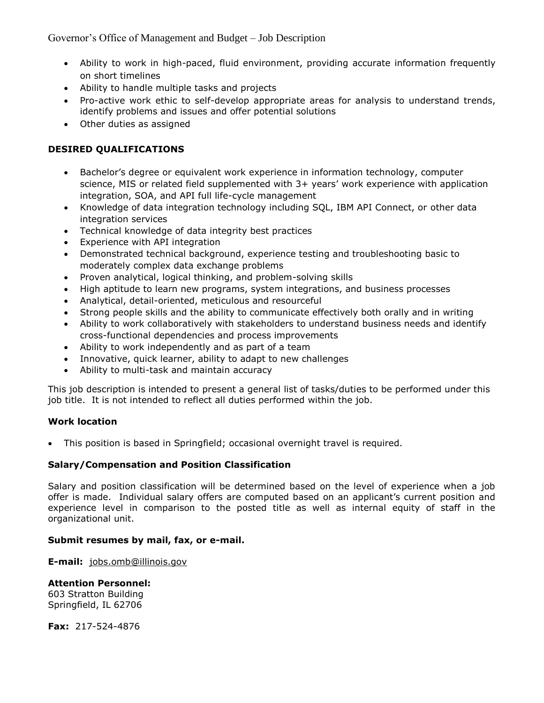Governor's Office of Management and Budget – Job Description

- Ability to work in high-paced, fluid environment, providing accurate information frequently on short timelines
- Ability to handle multiple tasks and projects
- Pro-active work ethic to self-develop appropriate areas for analysis to understand trends, identify problems and issues and offer potential solutions
- Other duties as assigned

### **DESIRED QUALIFICATIONS**

- Bachelor's degree or equivalent work experience in information technology, computer science, MIS or related field supplemented with 3+ years' work experience with application integration, SOA, and API full life-cycle management
- Knowledge of data integration technology including SQL, IBM API Connect, or other data integration services
- Technical knowledge of data integrity best practices
- Experience with API integration
- Demonstrated technical background, experience testing and troubleshooting basic to moderately complex data exchange problems
- Proven analytical, logical thinking, and problem-solving skills
- High aptitude to learn new programs, system integrations, and business processes
- Analytical, detail-oriented, meticulous and resourceful
- Strong people skills and the ability to communicate effectively both orally and in writing
- Ability to work collaboratively with stakeholders to understand business needs and identify cross-functional dependencies and process improvements
- Ability to work independently and as part of a team
- Innovative, quick learner, ability to adapt to new challenges
- Ability to multi-task and maintain accuracy

This job description is intended to present a general list of tasks/duties to be performed under this job title. It is not intended to reflect all duties performed within the job.

#### **Work location**

This position is based in Springfield; occasional overnight travel is required.

#### **Salary/Compensation and Position Classification**

Salary and position classification will be determined based on the level of experience when a job offer is made. Individual salary offers are computed based on an applicant's current position and experience level in comparison to the posted title as well as internal equity of staff in the organizational unit.

#### **Submit resumes by mail, fax, or e-mail.**

**E-mail:** [jobs.omb@illinois.gov](mailto:jobs.omb@illinois.gov)

#### **Attention Personnel:**

603 Stratton Building Springfield, IL 62706

**Fax:** 217-524-4876